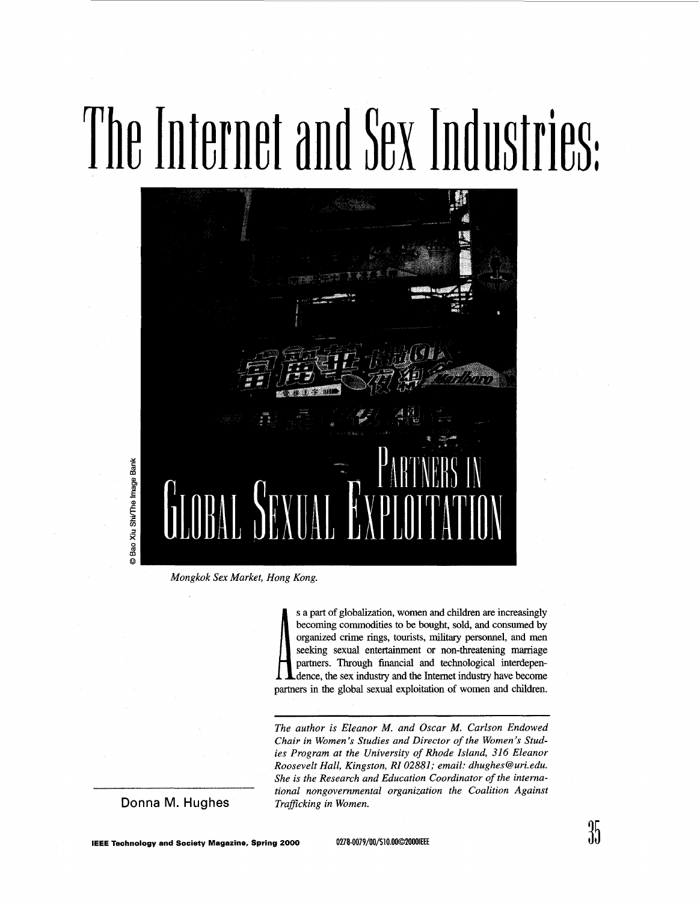# The Internet and Sex Industries:



*Mongkok Sex Market, Hong Kong.* 

s a **part** of globalization, women and children are increasingly becoming commodities to be bought, sold, and consumed by organized crime rings, tourists, military personnel, and men seeking sexual entertainment or non-threatening marriage partners. Through financial and technological interdependence, the sex industry and the Internet industry have become partners in the global sexual exploitation **of** women and children.

*The author is Eleanor M. and Oscar M. Carlson Endowed Chair in Women's Studies and Director of the Women's Studies Program at the University of Rhode Island, 316 Eleanor Roosevelt Hall, Kingston, RI 02881; email: [dhughes@uri.edu.](mailto:dhughes@uri.edu) She is the Research and Education Coordinator of the international nongovernmental organization the Coalition Against* 

# Donna M. **Hughes** *Traficking in Women.*

Bao Xiu Shi/The Image Bank

ال المجاز المسابق المسابق المسابق المسابق المسابق المسابق المسابق المسابق المسابق المسابق المسابق المسابق المس<br>السياسي المسابق المسابق المسابق المسابق المسابق المسابق المسابق المسابق المسابق المسابق المسابق المسابق المساب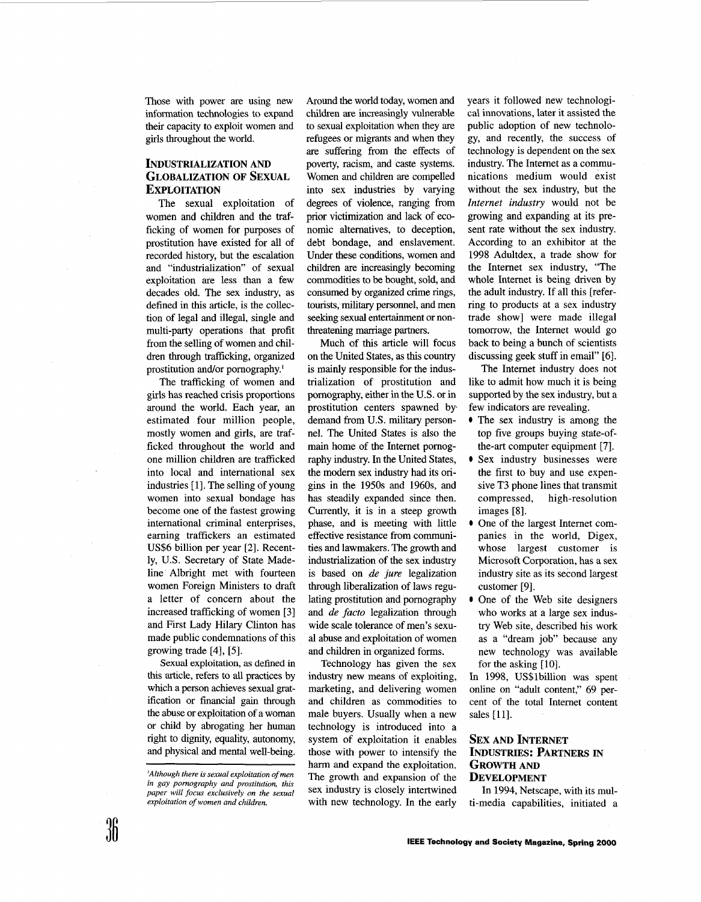Those with power are using new information technologies to expand their capacity to exploit women and girls throughout the world.

## **INDUSTRIALIZATION AND GLOBALIZATION OF SEXUAL EXPLOITATION**

The sexual exploitation of women and children and the **traf**ficking of women for purposes of prostitution have existed for all of recorded history, but the escalation and "industrialization" of sexual exploitation are less than a few decades old. The sex industry, as defined in this article, is the collection of legal and illegal, single and multi-party operations that profit from the selling of women and children through trafficking, organized prostitution and/or pornography.<sup>1</sup>

The trafficking of women and girls has reached crisis proportions around the world. Each year, an estimated four million people, mostly women and girls, are trafficked throughout the world and one million children are trafficked into local and international sex industries  $[1]$ . The selling of young women into sexual bondage has become one of the fastest growing international criminal enterprises, earning traffickers an estimated US\$6 billion per year *[2].* Recently, **U.S.** Secretary of State Madeline Albright met with fourteen women Foreign Ministers to draft a letter of concern about the increased trafficking of women [3] and First Lady Hilary Clinton has made public condemnations of this growing trade [4], [5].

Sexual exploitation, as defined in this article, refers to all practices by which a person achieves sexual gratification or financial gain through the abuse or exploitation of a woman or child by abrogating her human right to dignity, equality, autonomy, and physical and mental well-being. Around the world today, women and children are increasingly vulnerable to sexual exploitation when they are refugees or migrants and when they are suffering from the effects of poverty, racism, and caste systems. Women and children are compelled into sex industries by varying degrees of violence, ranging from prior victimization and lack of economic alternatives, to deception, debt bondage, and enslavement. Under these conditions, women and children are increasingly becoming commodities to be bought, sold, and consumed by organized crime rings, tourists, military personnel, and men seeking sexual entertainment or nonthreatening marriage partners.

Much of this article will focus on the United States, as this country is mainly responsible for the industrialization of prostitution and pornography, either in the **U.S.** or in prostitution centers spawned by demand from U.S. military personnel. The United States is also the main home of the Internet pomography industry. In the United States, the modem sex industry had its origins in the 1950s and 1960s, and has steadily expanded since then. Currently, it is in a steep growth phase, and is meeting with little effective resistance from communities and lawmakers. The growth and industrialization of the sex industry is based on *de jure* legalization through liberalization of laws regulating prostitution and pornography and *de facto* legalization through wide scale tolerance of men's sexual abuse and exploitation of women and children in organized forms.

Technology has given the sex industry new means of exploiting, marketing, and delivering women and children as commodities to male buyers. Usually when a new technology is introduced into a system of exploitation it enables those with power to intensify the harm and expand the exploitation. The growth and expansion of the sex industry is closely intertwined with new technology. In the early years it followed new technological innovations, later it assisted the public adoption of new technology, and recently, the success of technology is dependent on the sex industry. The Internet as a communications medium would exist without the sex industry, but the *Internet industry* would not be growing and expanding at its present rate without the sex industry. According to an exhibitor at the 1998 Adultdex, a trade show for the Internet sex industry, "The whole Internet is being driven by the adult industry. If all this [referring to products at a sex industry trade show] were made illegal tomorrow, the Internet would go back to being a bunch of scientists discussing geek stuff in email" [6].

The Internet industry does not like to admit how much it is being supported by the sex industry, but a few indicators are revealing.

- The sex industry is among the top five groups buying state-ofthe-art computer equipment [7].
- **Sex industry businesses were** the first to buy and use expensive T3 phone lines that transmit compressed, high-resolution images **[8].**
- One of the largest Internet companies in the world, Digex, whose largest customer is Microsoft Corporation, has a sex industry site as its second largest customer [9].
- One of the Web site designers who works at a large sex industry Web site, described his work as a "dream job" because any new technology was available for the asking [10].

In 1998, US\$lbillion was spent online on "adult content," 69 percent of the total Internet content sales [11].

### **SEX AND INTERNET INDUSTRIES: PARTNERS IN GROWTH AND DEVELOPMENT**

In 1994, Netscape, with its multi-media capabilities, initiated a

*<sup>&#</sup>x27;Although there is sexual exploitation of men in gay pornography and pmstitution, this paper will focus exclusively on the sexual exploitation of women and children.*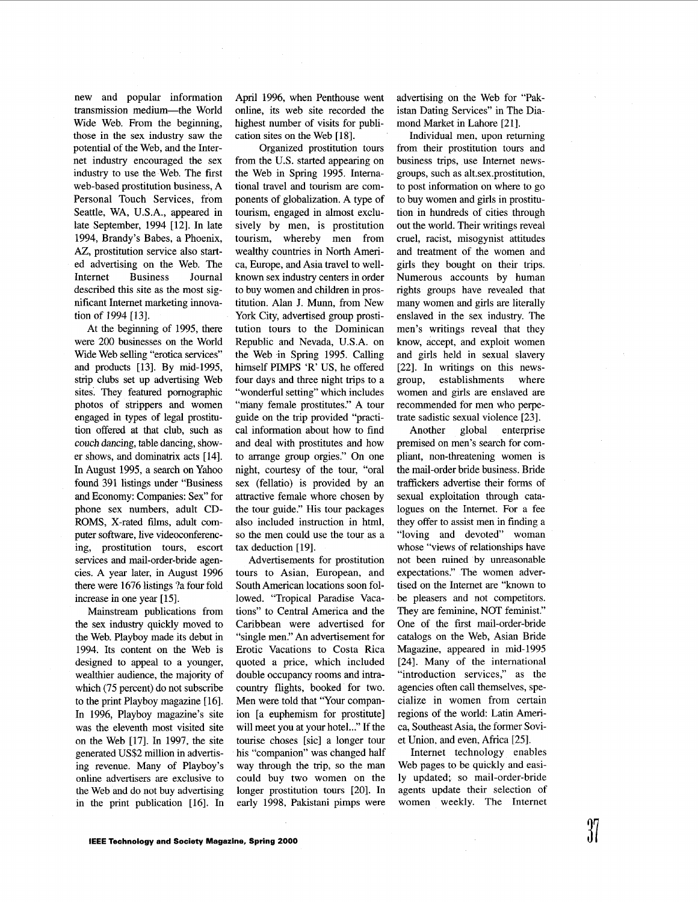<span id="page-2-0"></span>new and popular information transmission medium-the World Wide Web. From the beginning, those in the sex industry saw the potential of the Web, and the Internet industry encouraged the sex industry to use the Web. The first web-based prostitution business, A Personal Touch Services, from Seattle, WA, U.S.A., appeared in late September, 1994 [12]. In late 1994, Brandy's Babes, a Phoenix, AZ, prostitution service also started advertising on the Web. The Internet Business Journal described this site as the most significant Internet marketing innovation of 1994 [13].

At the beginning of 1995, there were 200 businesses on the World Wide Web selling "erotica services" and products [13]. By mid-1995, strip clubs set up advertising Web sites. They featured pornographic photos of strippers and women engaged in **types** of legal prostitution offered at that club, such as conch dancing, table dancing, shower shows, and dominatrix acts [14]. In August 1995, a search on Yahoo found 391 listings under "Business and Economy: Companies: Sex" for phone sex numbers, adult CD-ROMS, X-rated films, adult computer software, live videoconferencing, prostitution tours, escort services and mail-order-bride agencies. **A** year later, in August 1996 there were 1676 listings ?a four fold increase in one year [15].

Mainstream publications from the sex industry quickly moved to the Web. Playboy made its debut in 1994. Its content on the Web is designed to appeal to a younger, wealthier audience, the majority of which (75 percent) do not subscribe to the print Playboy magazine [16]. In 1996, Playboy magazine's site was the eleventh most visited site on the Web [17]. In 1997, the site generated US\$2 million in advertising revenue. Many of Playboy's online advertisers are exclusive to the Web and do not buy advertising in the print publication [16]. In April 1996, when Penthouse went online, its web site recorded the highest number of visits for publication sites on the Web [ 181.

Organized prostitution tours from the U.S. started appearing on the Web in Spring 1995. Intemational travel and tourism are components **of** globalization. **A** type of tourism, engaged in almost exclusively by men, is prostitution tourism, whereby men from wealthy countries in North America, Europe, and Asia travel to wellknown sex industry centers in order to buy women and children in prostitution. Alan J. Munn, from New York City, advertised group prostitution tours to the Dominican Republic and Nevada, U.S.A. on the Web in Spring 1995. Calling himself PIMPS 'R' US, he offered four days and three night trips to a "wonderful setting" which includes "many female prostitutes." A tour guide on the trip provided "practical information about how to find and deal with prostitutes and how to arrange group orgies." On one night, courtesy of the tour, "oral sex (fellatio) is provided by an attractive female whore chosen by the tour guide." His tour packages also included instruction in html, so the men could use the tour as a tax deduction [19].

Advertisements for prostitution tours to Asian, European, and South American locations soon followed. "Tropical Paradise Vacations" to Central America and the Caribbean were advertised for "single men." An advertisement for Erotic Vacations to Costa Rica quoted a price, which included double occupancy rooms and intracountry flights, booked for two. Men were told that "Your companion [a euphemism for prostitute] will meet you at your hotel..." If the tourise choses [sic] a longer tour his "companion" was changed half way through the trip, so the man could buy two women on the longer prostitution tours [20]. In early 1998, Pakistani pimps were advertising on the Web for "Pakistan Dating Services" in The Diamond Market in Lahore [21].

Individual men, upon returning from their prostitution tours and business trips, use Intemet newsgroups, such as alt.sex.prostitution, to post information on where to go to buy women and girls in prostitution in hundreds of cities through out the world. Their writings reveal cruel, racist, misogynist attitudes and treatment of the women and girls they bought on their trips. Numerous accounts by human rights groups have revealed that many women and girls are literally enslaved in the sex industry. The men's writings reveal that they know, accept, and exploit women and girls held in sexual slavery [22]. In writings on this newsgroup, establishments where women and girls are enslaved are recommended for men who perpetrate sadistic sexual violence [23].

Another global enterprise premised on men's search for compliant, non-threatening women is the mail-order bride business. Bride traffickers advertise their forms of sexual exploitation through catalogues on the Intemet. For a fee they offer to assist men in finding a "loving and devoted" woman whose "views of relationships have not been ruined by unreasonable expectations." The women advertised on the Internet are "known to be pleasers and not competitors. They are feminine, NOT feminist." One of the first mail-order-bride catalogs on the Web, Asian Bride Magazine, appeared in mid-1995 [24]. Many of the international "introduction services," as the agencies often call themselves, specialize in women from certain regions of the world: Latin America, Southeast Asia, the former Soviet Union, and even, Africa [251.

Internet technology enables Web pages to be quickly and easily updated; so mail-order-bride agents update their selection of women weekly. The Internet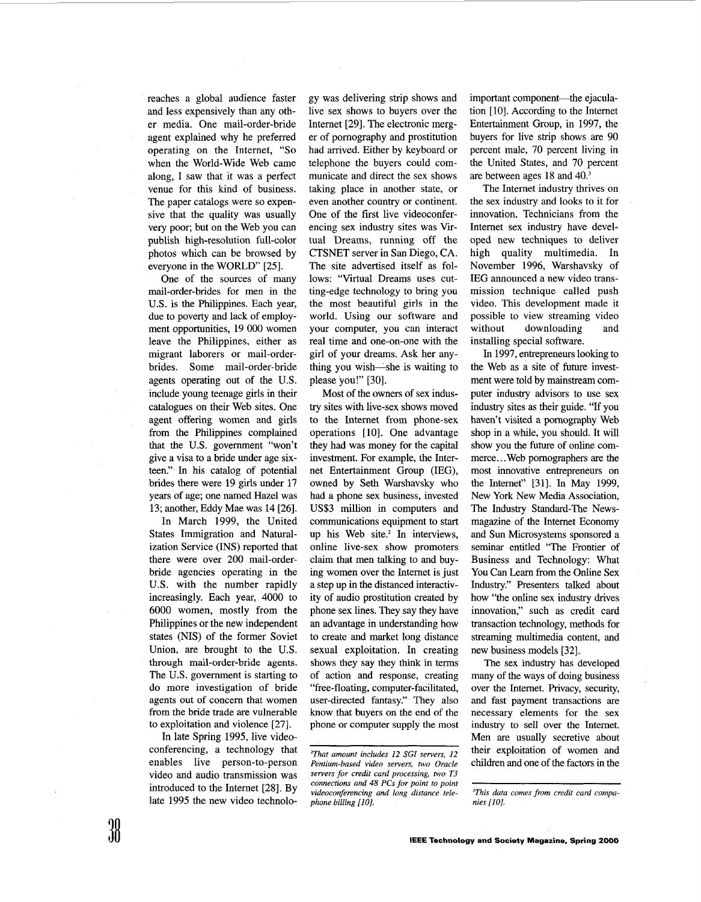reaches a global audience faster and less expensively than any other media. One mail-order-bride agent explained why he preferred operating on the Internet, "So when the World-Wide Web came along, I saw that it was a perfect venue for this kind of business. The paper catalogs were so expensive that the quality was usually very poor; but on the Web you can publish high-resolution full-color photos which can be browsed by everyone in the WORLD" [25].

One of the sources of many mail-order-brides for men in the U.S. is the Philippines. Each year, due to poverty and lack of employment opportunities, 19 *000* women leave the Philippines, either as migrant laborers or mail-orderbrides. Some mail-order-bride agents operating out of the U.S. include young teenage girls in their catalogues on their Web sites. One agent offering women and girls from the Philippines complained that the U.S. govemment "won't give a visa to a bride under age sixteen." In his catalog of potential brides there were 19 girls under 17 years of age; one named Hazel was 13; another, Eddy Mae was 14 [26].

In March 1999, the United States Immigration and Naturalization Service (INS) reported that there were over 200 mail-orderbride agencies operating in the U.S. with the number rapidly increasingly. Each year, 4000 to 6000 women, mostly from the Philippines or the new independent states (NIS) of the former Soviet Union, are brought to the U.S. through mail-order-bride agents. The U.S. government is starting to do more investigation of bride agents out of concem that women from the bride trade are vulnerable to exploitation and violence [27].

In late Spring 1995, live videoconferencing, a technology that enables live person-to-person video and audio transmission was introduced to the Internet [28]. By late 1995 the new video technology was delivering strip shows and live sex shows to buyers over the Internet [29]. The electronic merger of pornography and prostitution had arrived. Either by keyboard or telephone the buyers could communicate and direct the sex shows taking place in another state, or even another country or continent. One of the first live videoconferencing sex industry sites was Virtual Dreams, running off the CTSNET server in San Diego, CA. The site advertised itself as follows: "Virtual Dreams uses cutting-edge technology to bring you the most beautiful girls in the world. Using our software and your computer, you can interact real time and one-on-one with the girl of your dreams. Ask her anything you wish-she is waiting to please you!" [30].

Most of the owners of sex industry sites with live-sex shows moved to the Internet from phone-sex operations [IO]. One advantage they had was money for the capital investment. For example, the Internet Entertainment Group (IEG), owned by Seth Warshavsky who had a phone sex business, invested US\$3 million in computers and communications equipment to start up his Web site.<sup>2</sup> In interviews, online live-sex show promoters claim that men talking to and buying women over the Internet is just a step up in the distanced interactivity of audio prostitution created by phone sex lines. They say they have **an** advantage in understanding how to create and market long distance sexual exploitation. In creating shows they say they think in terms of action and response, creating "free-floating, computer-facilitated, user-directed fantasy." They also know that buyers on the end of the phone or computer supply the most

*'That amount includes 12 SGI servers, 12 Pentium-based video servers, two Oracle servers for credit card pmcessing, two T3 connections and 48 PCs for point to point videoconferencing and long distance telephone billing [IO].* 

important component—the ejaculation [10]. According to the Internet Entertainment Group, in 1997, the buyers for live strip shows are 90 percent male, 70 percent living in the United States, and 70 percent are between ages 18 and 40.<sup>3</sup>

The Internet industry thrives on the sex industry and looks to it for innovation. Technicians from the Internet sex industry have developed new techniques to deliver high quality multimedia. In November 1996, Warshavsky of **IEG** announced a new video transmission technique called push video. This development made it possible to view streaming video without downloading and installing special software.

In 1997, entrepreneurs looking to the Web as a site of future investment were told by mainstream computer industry advisors to use sex industry sites as their guide. "If you haven't visited a pornography Web shop in a while, you should. It will show you the future of online commerce.. .Web pomographers are the most innovative entrepreneurs on the Internet" **[31].** In May 1999, New York New Media Association, The Industry Standard-The Newsmagazine of the Internet Economy and Sun Microsystems sponsored a seminar entitled "The Frontier of Business and Technology: What You Can **Learn** from the Online Sex Industry." Presenters talked about how "the online sex industry drives innovation," such as credit card transaction technology, methods for streaming multimedia content, and new business models [32].

The sex industry has developed many of the ways of doing business over the Internet. Privacy, security, and fast payment transactions are necessary elements for the sex industry to sell over the Intemet. Men are usually secretive about their exploitation of women and children and one of the factors in the

*<sup>&#</sup>x27;This data comes from credit card companies [lo].*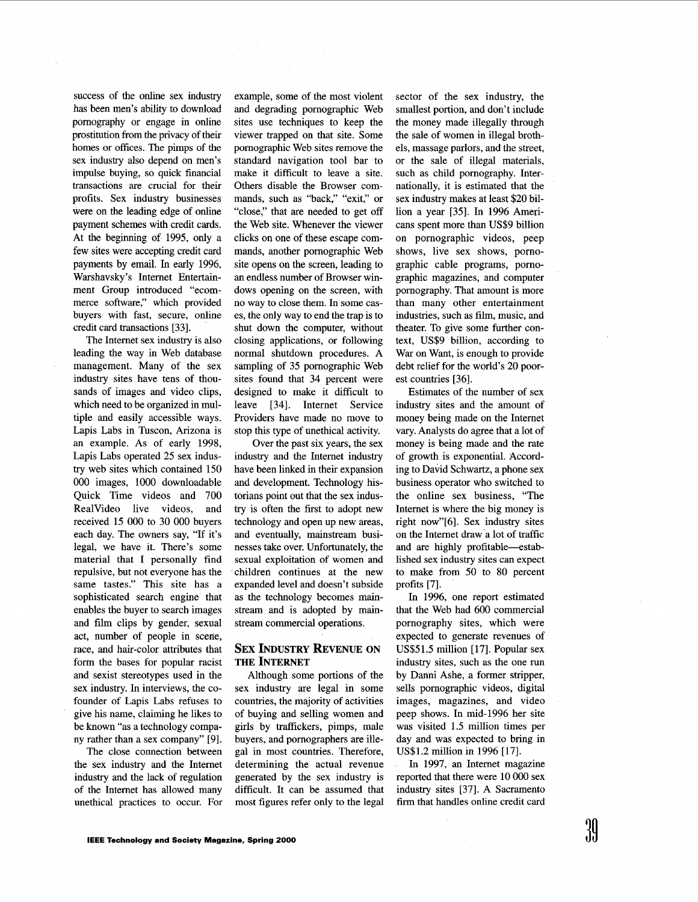success of the online sex industry has been men's ability to download pornography or engage in online prostitution from the privacy of their homes or offices. The pimps of the sex industry also depend on men's impulse buying, so quick financial transactions are crucial for their profits. Sex industry businesses were on the leading edge of online payment schemes with credit cards. At the beginning of 1995, only a few sites were accepting credit card payments by email. In early 1996, Warshavsky's Internet Entertainment Group introduced "ecommerce software," which provided buyers with fast, secure, online credit card transactions [33].

The Internet sex industry is also leading the way in Web database management. Many of the sex industry sites have tens of thousands of images and video clips, which need to be organized in multiple and easily accessible ways. Lapis Labs in Tuscon, Arizona is an example. **As** of early 1998, Lapis Labs operated 25 sex industry web sites which contained 150 000 images, 1000 downloadable Quick Time videos and 700 RealVideo live videos, and received 15 000 to 30 000 buyers each day. The owners say, "If it's legal, we have it. There's some material that **I** personally find repulsive, but not everyone has the same tastes." This site has a sophisticated search engine that enables the buyer to search images and film clips by gender, sexual act, number of people in scene, race, and hair-color attributes that form the bases for popular racist and sexist stereotypes used in the sex industry. In interviews, the cofounder of Lapis Labs refuses to give his name, claiming he likes to be known "as a technology company rather than a sex company" [9].

The close connection between the sex industry and the Internet industry and the lack of regulation of the Internet has allowed many unethical practices to occur. For

example, some of the most violent and degrading pornographic Web sites use techniques to keep the viewer trapped on that site. Some pornographic Web sites remove the standard navigation tool bar to make it difficult to leave a site. Others disable the Browser commands, such as "back," "exit," or "close," that are needed to get off the Web site. Whenever the viewer clicks on one of these escape commands, another pornographic Web site opens on the screen, leading to an endless number of Browser windows opening on the screen, with no way to close them. In some cases, the only way to end the trap is to shut down the computer, without closing applications, or following normal shutdown procedures. **A**  sampling of 35 pornographic Web sites found that 34 percent were designed to make it difficult to leave [34]. Internet Service Providers have made no move to stop this type of unethical activity.

Over the past six years, the sex industry and the Internet industry have been linked in their expansion and development. Technology historians point out that the sex industry is often the first to adopt new technology and open up new areas, and eventually, mainstream businesses take over. Unfortunately, the sexual exploitation of women and children continues at the new expanded level and doesn't subside as the technology becomes mainstream and is adopted by mainstream commercial operations.

# **SEX INDUSTRY REVENUE ON THE INTERNET**

Although some portions of the sex industry are legal in some countries, the majority of activities of buying and selling women and girls by traffickers, pimps, male buyers, and pornographers are illegal in most countries. Therefore, determining the actual revenue generated by the sex industry is difficult. It can be assumed that most figures refer only to the legal

sector of the sex industry, the smallest portion, and don't include the money made illegally through the sale of women in illegal brothels, massage parlors, and the street, or the sale of illegal materials, such as child pornography. Internationally, it is estimated that the sex industry makes at least \$20 billion a year [35]. In 1996 Americans spent more than US\$9 billion on pornographic videos, peep shows, live sex shows, pornographic cable programs, pornographic magazines, and computer pornography. That amount is more than many other entertainment industries, such as film, music, and theater. To give some further context, US\$9 billion, according to War on Want, is enough to provide debt relief for the world's 20 poorest countries [36].

Estimates of the number of sex industry sites and the amount of money being made on the Internet vary. Analysts do agree that a lot of money is being made and the rate of growth is exponential. According to David Schwartz, a phone sex business operator who switched to the online sex business, "The Internet is where the big money is right now"[6]. Sex industry sites on the Internet draw a lot of traffic and are highly profitable-established sex industry sites can expect to make from 50 to 80 percent profits [7].

In 1996, one report estimated that the Web had 600 commercial pornography sites, which were expected to generate revenues of **US\$51.5 million [17]. Popular sex** industry sites, such as the one run by Danni Ashe, a former stripper, sells pornographic videos, digital images, magazines, and video peep shows. In mid-1996 her site was visited 1.5 million times per day and was expected to bring in US\$1.2 million in 1996 [17].

In 1997, an Internet magazine reported that there were 10 000 sex industry sites [37]. **A** Sacramento firm that handles online credit card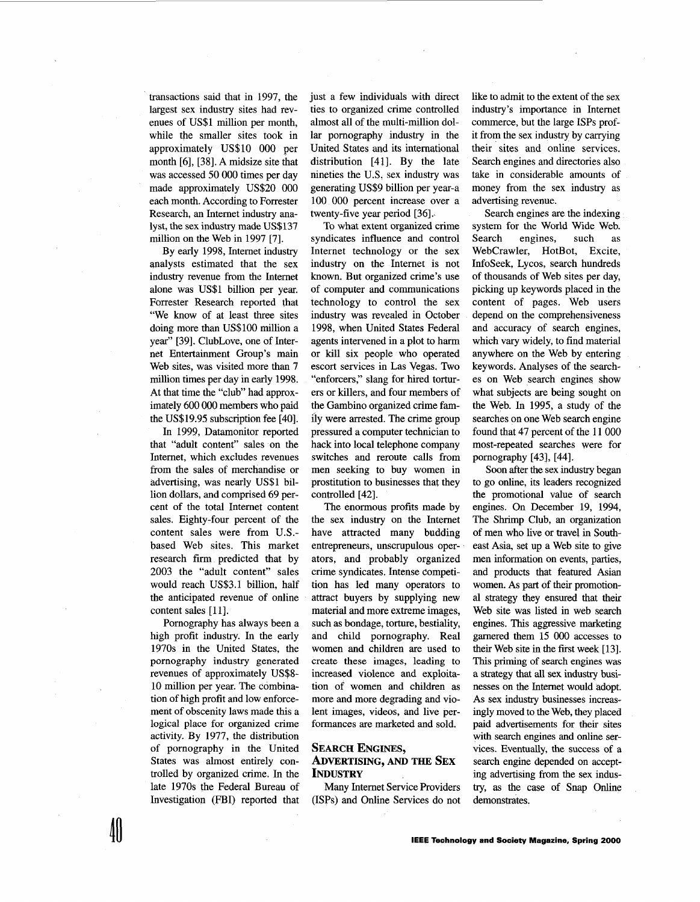transactions said that in 1997, the largest sex industry sites had revenues of US\$1 million per month, while the smaller sites took in approximately US\$10 000 per month **[6],** [38]. A midsize site that was accessed 50 000 times per day made approximately US\$20 000 each month. According to Forrester Research, an Internet industry analyst, the sex industry made US\$137 million on the Web in 1997 [7].

By early 1998, Internet industry analysts estimated that the sex industry revenue from the Internet alone was US\$1 billion per year. Forrester Research reported that "We know of at least three sites doing more than US\$lOO million a year" [39]. ClubLove, one of Internet Entertainment Group's main Web sites, was visited more than **7**  million times per day in early 1998. At that time the "club" had approximately 600 000 members who paid the US\$19.95 subscription fee [40].

In 1999, Datamonitor reported that "adult content" sales on the Internet, which excludes revenues from the sales of merchandise or advertising, was nearly US\$1 billion dollars, and comprised 69 percent of the total Internet content sales. Eighty-four percent of the content sales were from U.S. based Web sites. This market research firm predicted that by 2003 the "adult content" sales would reach US\$3.1 billion, half the anticipated revenue of online content sales [11].

Pornography has always been a high profit industry. In the early 1970s in the United States, the pornography industry generated revenues of approximately US\$8- 10 million per year. The combination of high profit and low enforcement of obscenity laws made this a logical place for organized crime activity. By 1977, the distribution of pornography in the United States was almost entirely controlled by organized crime. In the late 1970s the Federal Bureau of Investigation (FBI) reported that just a few individuals with direct ties to organized crime controlled almost all of the multi-million dollar pornography industry in the United States and its international distribution [41]. By the late nineties the U.S. sex industry was generating US\$9 billion per year-a 100 000 percent increase over a twenty-five year period *[36].* 

To what extent organized crime syndicates influence and control Internet technology or the sex industry on the Internet is not known. But organized crime's use of computer and communications technology to control the sex industry was revealed in October 1998, when United States Federal agents intervened in a plot to harm or kill six people who operated escort services in Las Vegas. Two "enforcers," slang for hired torturers or killers, and four members of the Gambino organized crime family were arrested. The crime group pressured a computer technician to hack into local telephone company switches and reroute calls from men seeking to buy women in prostitution to businesses that they controlled [42].

The enormous profits made by the sex industry on the Internet have attracted many budding entrepreneurs, unscrupulous operators, and probably organized crime syndicates. Intense competition has led many operators to attract buyers by supplying new material and more extreme images, such as bondage, torture, bestiality, and child pornography. Real women and children are used to create these images, leading to increased violence and exploitation of women and children as more and more degrading and violent images, videos, and live performances are marketed and sold.

#### **SEARCH ENGINES, ADVERTISING, AND THE SEX INDUSTRY**

Many Internet Service Providers (ISPs) and Online Services do not

like to admit to the extent of the sex industry's importance in Internet commerce, but the large ISPs profit from the sex industry by carrying their sites and online services. Search engines and directories also take in considerable amounts of money from the sex industry as advertising revenue.

Search engines are the indexing system for the World Wide Web.<br>Search engines, such as engines, such as Webcrawler, HotBot, Excite, InfoSeek, Lycos, search hundreds of thousands of Web sites per day, picking up keywords placed in the content of pages. Web users depend on the comprehensiveness and accuracy of search engines, which vary widely, to find material anywhere on the Web by entering keywords. Analyses of the searches on Web search engines show what subjects are being sought on the Web. In 1995, a study of the searches on one Web search engine found that 47 percent of the 11 090 most-repeated searches were for pornography [43], [44].

Soon after the sex industry began to *go* online, its leaders recognized the promotional value of search engines. On December 19, 1994, The Shrimp Club, an organization of men who live or travel in Southeast Asia, set up a Web site to give men information on events, parties, and products that featured Asian women. As part of their promotional strategy they ensured that their Web site was listed in web search engines. This aggressive marketing garnered them 15 *OOO* accesses to their Web site in the first week [13]. **This** priming of search engines was a strategy that **all** sex industry businesses on the Internet would adopt. As sex industry businesses increasingly moved to the Web, they placed paid advertisements for their sites with search engines and online services. Eventually, the success of a search engine depended on accepting advertising from the sex indus**try, as** the case of Snap Online demonstrates.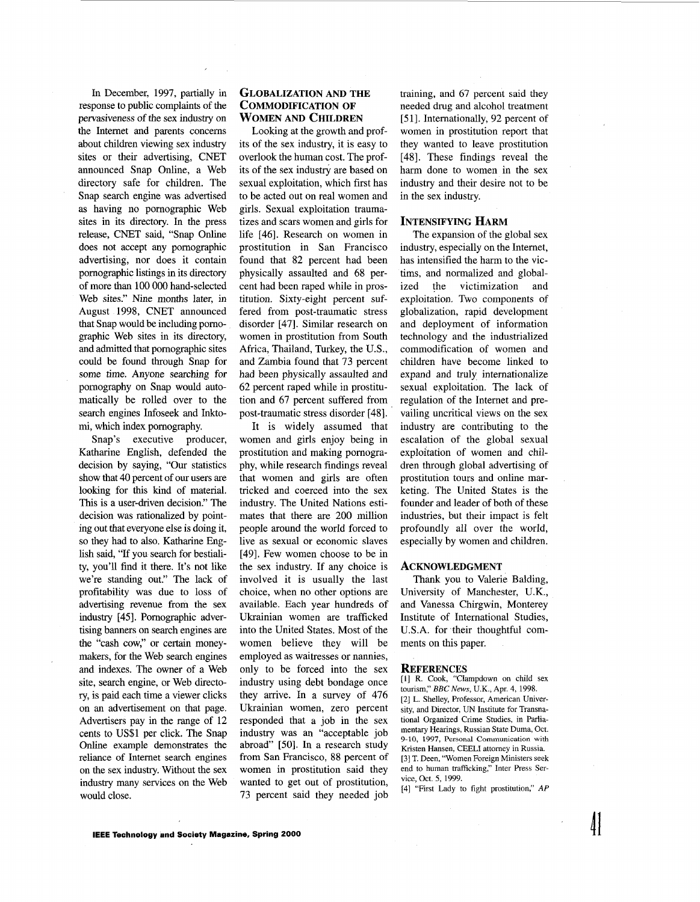In December, 1997, partially in response to public complaints of the pervasiveness of the sex industry on the Internet and parents concerns about children viewing sex industry sites or their advertising, CNET announced Snap Online, a Web directory safe for children. The Snap search engine was advertised as having no pornographic Web sites in its directory. In the press release, CNET said, "Snap Online does not accept any pornographic advertising, nor does it contain pornographic listings in its directory of more than 100 000 hand-selected Web sites." Nine months later, in August 1998, CNET announced that Snap would be including pornographic Web sites in its directory, and admitted that pornographic sites could be found through Snap for some time. Anyone searching for pornography on Snap would automatically be rolled over to the search engines Infoseek and Inkto**mi,** which index pornography.

Snap's executive producer, Katharine English, defended the decision by saying, "Our statistics show that 40 percent of our users are looking for this kind of material. This is a user-driven decision." The decision was rationalized by pointing out that everyone else is doing it, so they had to also. Katharine English said, "If you search for bestiali**ty,** you'll find it there. It's not like we're standing out." The lack of profitability was due to loss of advertising revenue from the sex industry [45]. Pornographic advertising banners on search engines are the "cash cow," or certain moneymakers, for the Web search engines and indexes. The owner of a Web site, search engine, or Web directory, is paid each time a viewer clicks on an advertisement on that page. Advertisers pay in the range of 12 cents to US\$l per click. The Snap Online example demonstrates the reliance of Internet search engines on the sex industry. Without the sex industry many services on the Web would close.

#### **GLOBALIZATION AND THE COMMODIFICATION OF WOMEN AND CHILDREN**

Looking at the growth and profits of the sex industry, it is easy to overlook the human cost. The profits of the sex industry are based on sexual exploitation, which first has to be acted out on real women and girls. Sexual exploitation traumatizes and scars women and girls for life [46]. Research on women in prostitution in San Francisco found that **82** percent had been physically assaulted and 68 percent had been raped while in prostitution. Sixty-eight percent suffered from post-traumatic stress disorder [47]. Similar research on women in prostitution from South Africa, Thailand, Turkey, the U.S., and Zambia found that 73 percent had been physically assaulted and 62 percent raped while in prostitution and 67 percent suffered from post-traumatic stress disorder [48].

It is widely assumed that women and girls enjoy being in prostitution and making pornography, while research findings reveal that women and girls are often tricked and coerced into the sex industry. The United Nations estimates that there are 200 million people around the world forced to live as sexual or economic slaves [49]. Few women choose to be in the sex industry. If any choice is involved it is usually the last choice, when no other options are available. Each year hundreds of Ukrainian women are trafficked into the United States. Most of the women believe they will be employed as waitresses or nannies, only to be forced into the sex industry using debt bondage once they arrive. In a survey of 476 Ukrainian women, zero percent responded that a job in the sex industry was an "acceptable job abroad" *[50].* In a research study from San Francisco, 88 percent of women in prostitution said they wanted to get out of prostitution, 73 percent said they needed job

training, and 67 percent said they needed drug and alcohol treatment *[5* 11. Internationally, 92 percent of women in prostitution report that they wanted to leave prostitution [48]. These findings reveal the harm done to women in the sex industry and their desire not to be in the sex industry.

#### **INTENSIFYING HARM**

The expansion of the global sex industry, especially on the Internet, has intensified the harm to the victims, and normalized and globalized the victimization and exploitation. Two components of globalization, rapid development and deployment of information technology and the industrialized commodification of women and children have become linked to expand and truly internationalize sexual exploitation. The lack of regulation of the Internet and prevailing uncritical views on the sex industry are contributing to the escalation of the global sexual exploitation of women and children through global advertising of prostitution tours and online marketing. The United States is the founder and leader of both of these industries, but their impact is felt profoundly all over the world, especially by women and children.

#### **ACKNOWLEDGMENT**

Thank you to Valerie Balding, University of Manchester, U.K., and Vanessa Chirgwin, Monterey Institute of International Studies, **U.S.A.** for their thoughtful comments on this paper.

#### **REFERENCES**

**[I] R.** Cook, "Clampdown on child **sex**  tourism," *BBC News,* U.K., Apr. **4,** 1998. **[2]** L. Shelley, Professor, American University, and Director, UN Institute for Transnational Organized Crime Studies, in Parliamentary Hearings, Russian State Duma, Oct. 9-10, 1997, **Pcrsonal Communication with**  Kristen Hansen, CEELI attorney in Russia. **[3]** T. Deen, "Women Foreign Ministers seek end to human trafficking," Inter Press Service, Oct. *5,* 1999.

[4] "First Lady to fight prostitution," *AP*